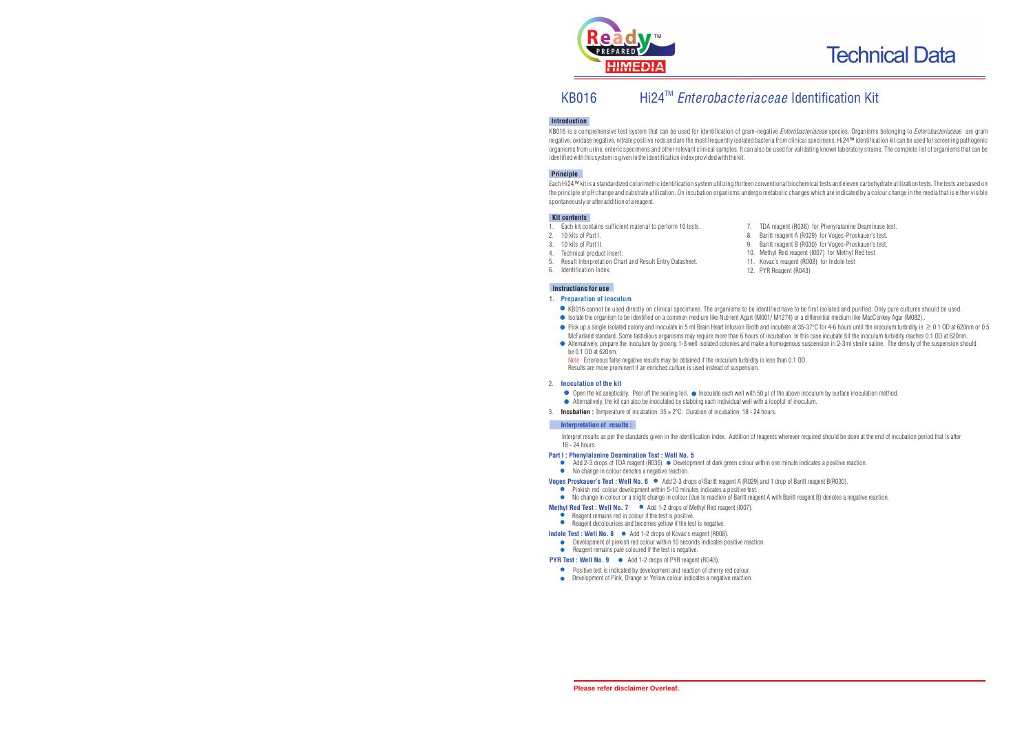

# KB016 Hi24<sup>™</sup> Enterobacteriaceae Identification Kit

### **Introduction**

KB016 is a comprehensive test system that can be used for identification of gram-negative *Enterobacteriaceae* species. Organisms belonging to *Enterobacteriaceae* are gram negative, oxidase negative, nitrate positive rods and are the most frequently isolated bacteria from clinical specimens. Hi24™ identification kit can be used for screening pathogenic organisms from urine, enteric specimens and other relevant clinical samples. It can also be used for validating known laboratory strains. The complete list of organisms that can be identified with this system is given in the identification index provided with the kit.

#### **Principle**

Each Hi24™ kit is a standardized colorimetric identification system utilizing thirteen conventional biochemical tests and eleven carbohydrate utilization tests. The tests are based on the principle of pH change and substrate utilization. On incubation organisms undergo metabolic changes which are indicated by a colour change in the media that is either visible spontaneously or after addition of a reagent.

#### **Kit contents**

- 1. Each kit contains sufficient material to perform 10 tests.<br>2. 10 kits of Part I
- 2. 10 kits of Part I.
- 3. 10 kits of Part II.<br>4 Technical product
- 4. Technical product insert.<br>5. Result Interpretation Cha
- 5. Result Interpretation Chart and Result Entry Datasheet.<br>6. Identification Index
- Identification Index.
- 7. TDA reagent (R036) for Phenylalanine Deaminase test.
- Baritt reagent A (R029) for Voges-Proskauer's test.
- 9. Baritt reagent B (R030) for Voges-Proskauer's test.
- 10. Methyl Red reagent (I007) for Methyl Red test
- 11. Kovac's reagent (R008) for Indole test
- 12. PYR Reagent (R043)

#### **Instructions for use**

#### 1. **Preparation of inoculum**

- KB016 cannot be used directly on clinical specimens. The organisms to be identified have to be first isolated and purified. Only pure cultures should be used.
- Isolate the organism to be identified on a common medium like Nutrient Agart (M001/M1274) or a differential medium like MacConkey Agar (M082)..
- Pick up a single isolated colony and inoculate in 5 ml Brain Heart Infusion Broth and incubate at 35-37°C for 4-6 hours until the inoculum turbidity is 0.1 OD at 620nm or 0.5 McFarland standard. Some fastidious organisms may require more than 6 hours of incubation. In this case incubate till the inoculum turbidity reaches 0.1 OD at 620nm.
- Alternatively, prepare the inoculum by picking 1-3 well isolated colonies and make a homogenous suspension in 2-3ml sterile saline. The density of the suspension should be 0.1 OD at 620nm.

Note Erroneous false negative results may be obtained if the inoculum turbidity is less than 0.1 OD. Results are more prominent if an enriched culture is used instead of suspension.

#### 2. **Inoculation of the kit**

- Open the kit aseptically. Peel off the sealing foil. Inoculate each well with 50 µl of the above inoculum by surface inoculation method.
- Alternatively, the kit can also be inoculated by stabbing each individual well with a loopful of inoculum.
- 3. **Incubation :** Temperature of incubation: 35 ± 2°C. Duration of incubation: 18 24 hours.

#### **Interpretation of results :**

Interpret results as per the standards given in the identification index. Addition of reagents wherever required should be done at the end of incubation period that is after 18 - 24 hours.

#### **Part I : Phenylalanine Deamination Test : Well No. 5**

- Add  $2$ -3 drops of TDA reagent (R036).  $\bullet$  Development of dark green colour within one minute indicates a positive reaction.
- $\bullet$ No change in colour denotes a negative reaction.

**Voges Proskauer's Test : Well No. 6**  $\bullet$  Add 2-3 drops of Baritt reagent A (R029) and 1 drop of Baritt reagent B(R030).

- Pinkish red colour development within 5-10 minutes indicates a positive test.
- No change in colour or a slight change in colour (due to reaction of Baritt reagent A with Baritt reagent B) denotes a negative reaction.
- **Methyl Red Test : Well No. 7**  $\bullet$  Add 1-2 drops of Methyl Red reagent (I007).
	- Reagent remains red in colour if the test is positive.  $\bullet$
	- Reagent decolourises and becomes yellow if the test is negative.
- **Indole Test : Well No. 8 ●** Add 1-2 drops of Kovac's reagent (R008).
	- Development of pinkish red colour within 10 seconds indicates positive reaction.

## Reagent remains pale coloured if the test is negative.

- **PYR Test : Well No. 9 •** Add 1-2 drops of PYR reagent (RO43).
	- Positive test is indicated by development and reaction of cherry red colour.
	- Development of Pink, Orange or Yellow colour indicates a negative reaction.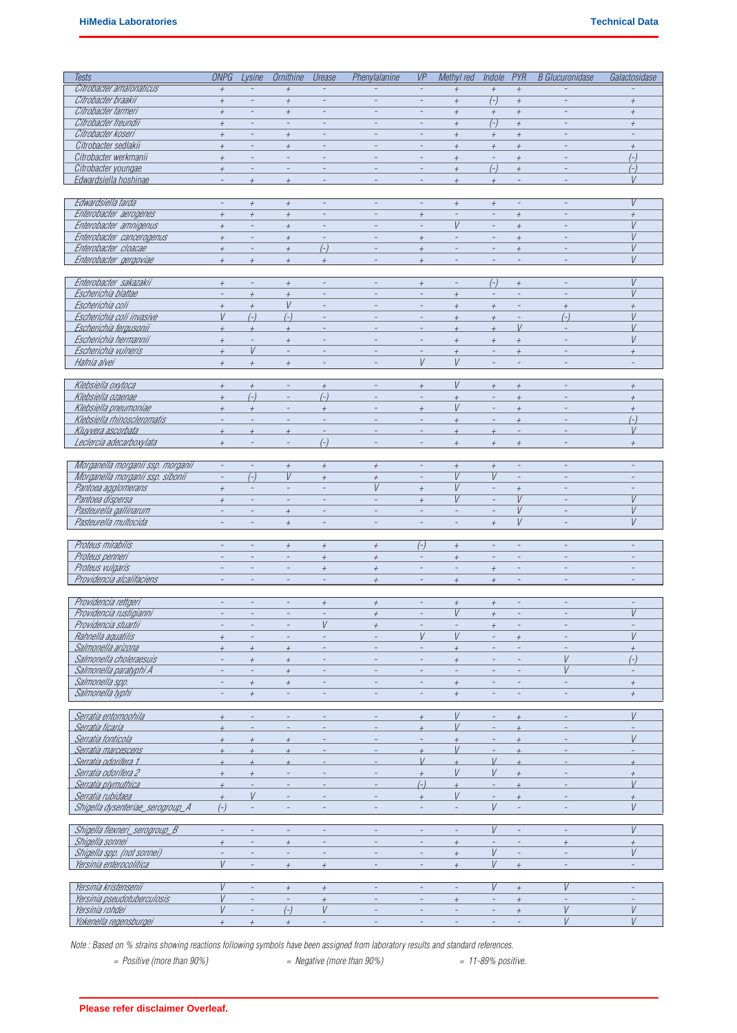| Tests                             | <b>ONPG</b>              | Lysine                   | <b>Ornithine</b>         | Urease                   | Phenylalanine    | VP                       | Methyl red       | Indole                   | PYR                      | <b>B</b> Glucuronidase   | Galactosidase    |
|-----------------------------------|--------------------------|--------------------------|--------------------------|--------------------------|------------------|--------------------------|------------------|--------------------------|--------------------------|--------------------------|------------------|
| Citrobacter amalonaticus          | $\overline{+}$           |                          | $\overline{+}$           |                          |                  |                          | $^{+}$           | $\overline{+}$           | $\overline{+}$           |                          |                  |
| Citrobacter braakii               |                          | $\overline{\phantom{a}}$ |                          |                          | $\equiv$         |                          |                  |                          |                          |                          |                  |
|                                   | $^{\rm +}$               |                          | $\boldsymbol{+}$         | $\qquad \qquad -$        |                  |                          | $\boldsymbol{+}$ | $(\overline{\cdot})$     | $\boldsymbol{+}$         | $\overline{\phantom{m}}$ | $\boldsymbol{+}$ |
| Citrobacter farmeri               | $^{\rm +}$               | $\overline{\phantom{a}}$ | $^{\rm +}$               | $\overline{a}$           |                  |                          | $\boldsymbol{+}$ | $^{\rm +}$               | $\boldsymbol{+}$         |                          | $^{+}$           |
| Citrobacter freundii              | $^{\rm +}$               | $\overline{\phantom{a}}$ | $\qquad \qquad -$        | $\qquad \qquad -$        |                  |                          | $\boldsymbol{+}$ | $\overline{(-)}$         | $\boldsymbol{+}$         |                          | $\boldsymbol{+}$ |
| Citrobacter koseri                | $\boldsymbol{+}$         | $\overline{\phantom{a}}$ | $^{+}$                   | $\sim$                   | $\overline{a}$   | $\equiv$                 | $^{+}$           | $\boldsymbol{+}$         | $\boldsymbol{+}$         |                          |                  |
| Citrobacter sedlakii              | $\overline{+}$           |                          | $\overline{+}$           |                          |                  |                          | $\overline{+}$   | $\overline{+}$           | $\overline{+}$           |                          | $\boldsymbol{+}$ |
| Citrobacter werkmanii             | $\overline{+}$           |                          | $\bar{\phantom{a}}$      |                          |                  |                          | $^{+}$           | $\overline{\phantom{a}}$ | $\overline{+}$           |                          | $(-)$            |
| Citrobacter youngae               | $\overline{+}$           | $\overline{\phantom{a}}$ | ÷                        |                          |                  |                          | $^{+}$           | $(-)$                    | $\overline{+}$           |                          | $(-)$            |
| Edwardsiella hoshinae             |                          | $+$                      | $\overline{+}$           |                          |                  |                          | $^{+}$           | $^{+}$                   |                          |                          | $\vee$           |
|                                   |                          |                          |                          |                          |                  |                          |                  |                          |                          |                          |                  |
| Edwardsiella tarda                | $\overline{\phantom{a}}$ | $^{+}$                   | $\overline{+}$           |                          |                  | L,                       | $^{+}$           | $^{+}$                   | $\overline{\phantom{a}}$ |                          | V                |
| Enterobacter aerogenes            | $^{+}$                   | $^{+}$                   | $^{+}$                   |                          |                  | $+$                      | $\overline{a}$   | $\overline{a}$           | $^{+}$                   |                          | $^{+}$           |
| Enterobacter amnigenus            | $\overline{+}$           |                          | $\overline{+}$           |                          |                  |                          | V                |                          | $\overline{+}$           |                          | V                |
| Enterobacter cancerogenus         | $\boldsymbol{+}$         | $\overline{\phantom{a}}$ | $\overline{+}$           | $\overline{\phantom{a}}$ |                  | $\boldsymbol{+}$         |                  | $\overline{a}$           | $\overline{+}$           |                          | $\sqrt{ }$       |
| Enterobacter cloacae              | $\boldsymbol{+}$         | $\overline{a}$           | $\overline{+}$           | $(-)$                    |                  | $\boldsymbol{+}$         |                  |                          | $\overline{+}$           |                          | V                |
| Enterobacter gergoviae            | $\overline{+}$           | $\overline{+}$           | $\overline{+}$           |                          |                  | $\overline{+}$           |                  |                          |                          |                          | $\vee$           |
|                                   |                          |                          |                          | $\boldsymbol{+}$         |                  |                          |                  |                          |                          |                          |                  |
| Enterobacter sakazakii            |                          |                          |                          |                          |                  |                          | $\equiv$         | $(-)$                    |                          |                          | V                |
|                                   | $\boldsymbol{+}$         | $\overline{\phantom{a}}$ | $\boldsymbol{+}$         |                          |                  | $\boldsymbol{+}$         |                  |                          | $\boldsymbol{+}$         |                          |                  |
| Escherichia blattae               | ÷,                       | $\overline{+}$           | $\overline{+}$           |                          |                  |                          | $^{+}$           | $\bar{\phantom{a}}$      |                          |                          | V                |
| Escherichia coli                  | $\boldsymbol{+}$         | $\boldsymbol{+}$         | V                        |                          |                  |                          | $\overline{+}$   | $\overline{+}$           |                          | $\boldsymbol{+}$         | $\overline{+}$   |
| Escherichia coli invasive         | V                        | $(-)$                    | $(-)$                    |                          |                  |                          | $\overline{+}$   | $\boldsymbol{+}$         | $\overline{\phantom{a}}$ | $(-)$                    | V                |
| Escherichia fergusonii            | $\overline{+}$           | $\overline{+}$           | $\overline{+}$           |                          |                  |                          | $\overline{+}$   | $\overline{+}$           | $\vee$                   |                          | $\frac{1}{2}$    |
| Escherichia hermannii             | $^{+}$                   | $\overline{\phantom{a}}$ | $^{+}$                   |                          |                  |                          | $^{+}$           | $^{+}$                   | $\overline{+}$           |                          | V                |
| Escherichia vulneris              | $\overline{+}$           | $\vee$                   | $\Box$                   |                          |                  |                          | $\overline{+}$   | $\equiv$                 | $^{+}$                   |                          | $\overline{+}$   |
| Hafnia alvei                      | $\overline{+}$           | $\overline{+}$           | $\boldsymbol{+}$         |                          |                  | V                        | V                |                          | $\overline{\phantom{a}}$ |                          |                  |
|                                   |                          |                          |                          |                          |                  |                          |                  |                          |                          |                          |                  |
| Klebsiella oxytoca                | $\boldsymbol{+}$         | $\boldsymbol{+}$         | $\blacksquare$           | $\boldsymbol{+}$         |                  | $\boldsymbol{+}$         | V                | $\boldsymbol{+}$         | $\boldsymbol{+}$         |                          | $^{+}$           |
| Klebsiella ozaenae                | $\overline{+}$           | $(-)$                    |                          | $(-)$                    |                  |                          | $\overline{+}$   | ÷,                       | $\overline{+}$           |                          | $\overline{+}$   |
| Klebsiella pneumoniae             | $^{+}$                   | $^{+}$                   | $\overline{\phantom{a}}$ | $\overline{+}$           |                  | $\boldsymbol{+}$         | V                | $\overline{\phantom{a}}$ | $^{\rm +}$               |                          | $^{+}$           |
| Klebsiella rhinoscleromatis       | $\overline{a}$           | $\overline{\phantom{a}}$ | $\overline{\phantom{a}}$ |                          |                  | L,                       | $^{+}$           |                          | $\overline{+}$           |                          | $(-)$            |
| Kluyvera ascorbata                | $\overline{+}$           | $\overline{+}$           | $\overline{+}$           |                          |                  |                          | $\overline{+}$   | $\overline{1}$           |                          |                          | $\vee$           |
| Leclercia adecarboxylata          |                          |                          |                          | $(-)$                    |                  |                          |                  |                          |                          |                          |                  |
|                                   | $\boldsymbol{+}$         |                          |                          |                          |                  |                          | $^{+}$           | $\overline{+}$           | $\overline{+}$           |                          | $\overline{+}$   |
|                                   |                          |                          |                          |                          |                  |                          |                  |                          |                          |                          |                  |
| Morganella morganii ssp. morganii | $\overline{\phantom{a}}$ | $\qquad \qquad -$        | $\boldsymbol{+}$         | $^{\rm +}$               | $^{\rm +}$       | $\overline{a}$           | $^{\rm +}$       | $\boldsymbol{+}$         | $\overline{\phantom{a}}$ |                          |                  |
| Morganella morganii ssp. sibonii  | $\overline{a}$           | $(-)$                    | V                        | $\overline{+}$           | $\boldsymbol{+}$ | ÷                        | $\overline{V}$   | V                        | $\overline{\phantom{a}}$ |                          |                  |
| Pantoea agglomerans               | $^{+}$                   | $\overline{\phantom{a}}$ |                          |                          | V                | $\overline{+}$           | V                |                          | $^{\rm +}$               |                          |                  |
| Pantoea dispersa                  | $\boldsymbol{+}$         |                          |                          | $\overline{a}$           |                  | $\boldsymbol{+}$         | $\vee$           | L.                       | $\overline{V}$           |                          | V                |
| Pasteurella gallinarum            | ÷,                       |                          | $\overline{+}$           |                          |                  | ÷                        |                  | $\equiv$                 | $\vee$                   |                          | V                |
| Pasteurella multocida             |                          |                          | $\boldsymbol{+}$         |                          |                  |                          |                  | $\boldsymbol{+}$         | V                        |                          | V                |
|                                   |                          |                          |                          |                          |                  |                          |                  |                          |                          |                          |                  |
| Proteus mirabilis                 |                          | $\overline{\phantom{a}}$ | $^{+}$                   | $\boldsymbol{+}$         | $^{+}$           | $(-)$                    | $^{+}$           | $\overline{\phantom{a}}$ |                          |                          |                  |
| Proteus penneri                   |                          |                          |                          | $\overline{+}$           | $^{+}$           |                          | $^{+}$           |                          |                          |                          |                  |
| Proteus vulgaris                  |                          |                          |                          | $\boldsymbol{+}$         | $\boldsymbol{+}$ |                          |                  | $\boldsymbol{+}$         |                          |                          |                  |
| Providencia alcalitaciens         |                          |                          |                          | $\overline{a}$           | $\boldsymbol{+}$ | $\overline{\phantom{a}}$ | $\boldsymbol{+}$ | $\boldsymbol{+}$         |                          |                          |                  |
|                                   |                          |                          |                          |                          |                  |                          |                  |                          |                          |                          |                  |
| Providencia rettgeri              |                          |                          |                          | $^{+}$                   | $^{+}$           |                          | $^{+}$           | $^{+}$                   |                          |                          |                  |
| Providencia rustigianni           |                          |                          |                          |                          | $^{\rm +}$       |                          | V                | $^{+}$                   |                          |                          | V                |
| Providencia stuartii              |                          |                          |                          | V                        | $\overline{+}$   |                          |                  | $\overline{+}$           |                          |                          |                  |
| Rahnella aquatilis                |                          |                          |                          |                          |                  | V                        | V                |                          |                          |                          | V                |
|                                   | $\overline{+}$           |                          |                          |                          |                  |                          |                  |                          | $\overline{+}$           |                          |                  |
| Salmonella arizona                | $\overline{+}$           | $^{+}$                   | $^{+}$                   |                          |                  | $\overline{a}$           | $^{+}$           | $\overline{a}$           |                          |                          | $\overline{+}$   |
| Salmonella choleraesuis           | $\overline{\phantom{a}}$ | $\boldsymbol{+}$         | $^{\rm +}$               |                          |                  | $\qquad \qquad -$        | $\boldsymbol{+}$ | $\equiv$                 |                          | V                        | $(-)$            |
| Salmonella paratyphi A            |                          | $\overline{\phantom{a}}$ | $\boldsymbol{+}$         | $\overline{\phantom{a}}$ |                  |                          |                  | $\overline{\phantom{a}}$ |                          | V                        |                  |
| Salmonella spp.                   |                          | $^{+}$                   | $\boldsymbol{+}$         |                          |                  | $\overline{a}$           | $^{+}$           | $\overline{a}$           |                          |                          | $^{+}$           |
| Salmonella typhi                  |                          | $\boldsymbol{+}$         |                          |                          |                  |                          | $\boldsymbol{+}$ |                          |                          |                          | $\boldsymbol{+}$ |
|                                   |                          |                          |                          |                          |                  |                          |                  |                          |                          |                          |                  |
| Serratia entomoohila              | $\overline{+}$           | $\overline{a}$           | $\overline{a}$           |                          |                  | $\boldsymbol{+}$         | V                | $\overline{a}$           | $^{+}$                   |                          | V                |
| Serratia ficaria                  | $\overline{+}$           |                          |                          |                          |                  | $\overline{+}$           | $\frac{1}{2}$    |                          |                          |                          |                  |
| Serratia fonticola                | $\overline{+}$           | $\overline{+}$           | $\overline{+}$           |                          |                  |                          | $\overline{+}$   |                          | $\overline{+}$           |                          | $\vee$           |
| Serratia marcescens               | $\overline{+}$           | $\overline{+}$           | $\overline{+}$           |                          |                  | $\overline{+}$           | V                |                          | $\overline{+}$           |                          |                  |
| Serratia odoritera 1              |                          |                          |                          |                          |                  | $\vee$                   |                  | $\vee$                   |                          |                          |                  |
| Serratia odoritera 2              | $\overline{+}$           |                          |                          |                          |                  | $\overline{+}$           | V                | V                        |                          |                          | $^{+}$           |
| Serratia plymuthica               | $\overline{+}$           |                          |                          |                          |                  | $(-)$                    | $\overline{+}$   | $\overline{a}$           |                          |                          | V                |
| Serratia rubidaea                 | $\overline{+}$           | V                        |                          |                          |                  | $\boldsymbol{+}$         | V                | L,                       | $\overline{+}$           |                          | $\overline{+}$   |
| Shigella dysenteriae_serogroup_A  | $(-)$                    |                          |                          |                          |                  |                          |                  | $\vee$                   |                          |                          | V                |
|                                   |                          |                          |                          |                          |                  |                          |                  |                          |                          |                          |                  |
| Shigella flexneri_serogroup_B     |                          |                          |                          |                          |                  |                          |                  | V                        |                          |                          | V                |
| Shigella sonnei                   | $\overline{+}$           |                          | $\overline{+}$           |                          |                  |                          | $^{+}$           |                          |                          | $\overline{+}$           | $^{+}$           |
| Shigella spp. (not sonnei)        |                          |                          |                          |                          |                  |                          | $\overline{+}$   | V                        |                          |                          | V                |
| Yersinia enterocolitica           | $\vee$                   |                          | $^{+}$                   |                          |                  |                          | $^{+}$           | $\sqrt{ }$               | $+$                      |                          |                  |
|                                   |                          |                          |                          | $\boldsymbol{+}$         |                  |                          |                  |                          |                          |                          |                  |
|                                   | V                        | $\overline{a}$           |                          |                          |                  | ÷,                       | $\equiv$         | V                        |                          | V                        |                  |
| Yersinia kristensenii             |                          |                          | $+$                      | $\boldsymbol{+}$         |                  |                          |                  |                          | $^{+}$                   |                          |                  |
| Yersinia pseudotuberculosis       | V                        |                          |                          | $\boldsymbol{+}$         |                  |                          | $^{+}$           |                          | $\boldsymbol{+}$         |                          |                  |
| Yersinia rohdei                   | V                        |                          | $\overline{(-)}$         | V                        |                  |                          |                  |                          | $\boldsymbol{+}$         | V                        | V                |
| Yokenella regensburgei            | $\overline{+}$           | $\boldsymbol{+}$         | $^{+}$                   | $\bar{\phantom{a}}$      |                  |                          |                  |                          |                          | $\overline{V}$           | $\overline{V}$   |

*Note : Based on % strains showing reactions following symbols have been assigned from laboratory results and standard references.*

- 
- *= Positive (more than 90%) = Negative (more than 90%) = 11-89% positive.* 
	-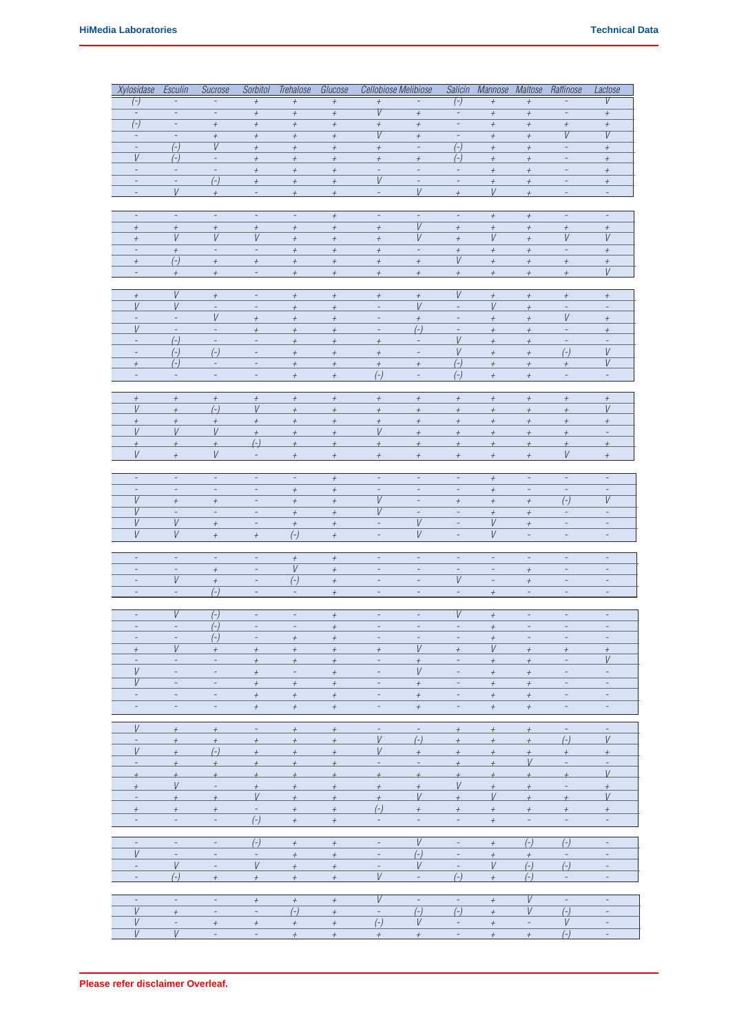| Xylosidase                         | Esculin                           | Sucrose                           | Sorbitol                             | Trehalose                            | Glucose                              | Cellobiose Melibiose                         |                                                      |                                                      | Salicin Mannose Maltose              |                                              | Raffinose                    | Lactose                     |
|------------------------------------|-----------------------------------|-----------------------------------|--------------------------------------|--------------------------------------|--------------------------------------|----------------------------------------------|------------------------------------------------------|------------------------------------------------------|--------------------------------------|----------------------------------------------|------------------------------|-----------------------------|
| $(\bar{\ })$                       |                                   |                                   | $\boldsymbol{+}$                     | $\boldsymbol{+}$                     | $\boldsymbol{+}$                     | $\! +$                                       |                                                      | $(\overline{\cdot})$                                 | $\boldsymbol{+}$                     | $\boldsymbol{+}$                             |                              | V                           |
| $\overline{\phantom{a}}$           | $\overline{\phantom{m}}$          | $\qquad \qquad \blacksquare$      | $\boldsymbol{+}$                     | $\,$ + $\,$                          | $\boldsymbol{+}$                     | V                                            | $\boldsymbol{+}$                                     | $\overline{\phantom{m}}$                             | $\boldsymbol{+}$                     | $\boldsymbol{+}$                             | $\qquad \qquad \blacksquare$ | $^{\rm +}$                  |
| $\overline{(-)}$                   | $\overline{\phantom{a}}$          | $^{\rm +}$                        | $\boldsymbol{+}$                     | $^{\rm +}$                           | $^{\rm +}$                           | $\boldsymbol{+}$                             | $^{\rm +}$                                           | $\overline{\phantom{a}}$                             | $^{\rm +}$                           | $^{\rm +}$                                   | $^{\rm +}$                   | $^{\rm +}$                  |
| $\overline{\phantom{a}}$           | $\overline{\phantom{a}}$          | $^{\rm +}$                        | $^{\rm +}$                           | $^{\rm +}$                           | $^{\rm +}$                           | $\overline{V}$                               | $^{\rm +}$                                           | $\overline{\phantom{a}}$                             | $^{\rm +}$                           | $\boldsymbol{+}$                             | $\overline{V}$               | V                           |
| $\overline{\phantom{a}}$<br>$\vee$ | $\overline{(-)}$                  | V<br>$\overline{\phantom{a}}$     | $\boldsymbol{+}$                     | $\boldsymbol{+}$                     | $\boldsymbol{+}$                     | $\boldsymbol{+}$                             | $\overline{\phantom{a}}$                             | $\overline{(-)}$                                     | $\boldsymbol{+}$                     | $\boldsymbol{+}$                             | $\overline{\phantom{a}}$     | $^{+}$                      |
| $\overline{\phantom{a}}$           | $(-)$<br>$\overline{\phantom{a}}$ | $\overline{\phantom{a}}$          | $\boldsymbol{+}$<br>$\boldsymbol{+}$ | $\boldsymbol{+}$<br>$\boldsymbol{+}$ | $\boldsymbol{+}$<br>$\boldsymbol{+}$ | $\boldsymbol{+}$<br>$\overline{\phantom{a}}$ | $^{\rm +}$<br>$\blacksquare$                         | $(-)$<br>$\overline{\phantom{a}}$                    | $\boldsymbol{+}$<br>$\boldsymbol{+}$ | $\boldsymbol{+}$<br>$\boldsymbol{+}$         |                              | $^{\rm +}$                  |
|                                    | $\overline{\phantom{a}}$          | $(-)$                             | $\boldsymbol{+}$                     | $\boldsymbol{+}$                     | $\boldsymbol{+}$                     | V                                            | $\blacksquare$                                       | $\equiv$                                             | $\boldsymbol{+}$                     | $\boldsymbol{+}$                             |                              | $^{\rm +}$<br>$^{\rm +}$    |
|                                    | V                                 | $^{+}$                            | $\qquad \qquad -$                    | $\overline{+}$                       | $^{\rm +}$                           | $\blacksquare$                               | V                                                    | $\overline{+}$                                       | V                                    | $\overline{+}$                               |                              | $\overline{\phantom{a}}$    |
|                                    |                                   |                                   |                                      |                                      |                                      |                                              |                                                      |                                                      |                                      |                                              |                              |                             |
| $\overline{\phantom{a}}$           | $\overline{\phantom{a}}$          | $\overline{\phantom{a}}$          | $\overline{\phantom{a}}$             | $\overline{\phantom{a}}$             | $^{\rm +}$                           | $\overline{\phantom{a}}$                     | $\overline{\phantom{a}}$                             | $\overline{\phantom{a}}$                             | $^{\rm +}$                           | $^{\rm +}$                                   | $\overline{\phantom{a}}$     | $\overline{\phantom{a}}$    |
| $^{\rm +}$                         | $^{\rm +}$                        | $^{\rm +}$                        | $\boldsymbol{+}$                     | $\boldsymbol{+}$                     | $\boldsymbol{+}$                     | $\boldsymbol{+}$                             | $\overline{V}$                                       | $\boldsymbol{+}$                                     | $^{\rm +}$                           | $\boldsymbol{+}$                             | $^{\rm +}$                   | $^{\rm +}$                  |
| $\boldsymbol{+}$                   | V                                 | V                                 | V                                    | $\boldsymbol{+}$                     | $\boldsymbol{+}$                     | $\boldsymbol{+}$                             | V                                                    | $\boldsymbol{+}$                                     | V                                    | $\boldsymbol{+}$                             | V                            | V                           |
| $\qquad \qquad -$                  | $\boldsymbol{+}$                  | $\overline{\phantom{a}}$          | $\overline{\phantom{m}}$             | $^{\rm +}$                           | $^{\rm +}$                           | $^{\rm +}$                                   | $\overline{\phantom{m}}$                             | $^{\rm +}$                                           | $\boldsymbol{+}$                     | $\boldsymbol{+}$                             | $\overline{\phantom{a}}$     | $^{\rm +}$                  |
| $^{\rm +}$                         | $(-)$                             | $\boldsymbol{+}$                  | $\boldsymbol{+}$                     | $^{\rm +}$                           | $^{\rm +}$                           | $^{\rm +}$                                   | $^{\rm +}$                                           | $\it{V}$                                             | $^{\rm +}$                           | $\boldsymbol{+}$                             | $^{\rm +}$                   | $^{\rm +}$                  |
| $\overline{\phantom{a}}$           | $^{+}$                            | $^{\rm +}$                        | $\overline{\phantom{a}}$             | $^{\rm +}$                           | $^{\rm +}$                           | $^{\rm +}$                                   | $\boldsymbol{+}$                                     | $^{\rm +}$                                           | $^{\rm +}$                           | $\boldsymbol{+}$                             | $^{\rm +}$                   | V                           |
|                                    |                                   |                                   |                                      |                                      |                                      |                                              |                                                      |                                                      |                                      |                                              |                              |                             |
| $^{\rm +}$                         | V                                 | $\boldsymbol{+}$                  | $\overline{\phantom{a}}$             | $^{\rm +}$                           | $^{\rm +}$                           | $^{\rm +}$                                   | $^{\rm +}$                                           | V                                                    | $\boldsymbol{+}$                     | $\boldsymbol{+}$                             | $^{\rm +}$                   | $^{\rm +}$                  |
| V                                  | V                                 | $\overline{\phantom{a}}$          |                                      | $\boldsymbol{+}$                     | $\boldsymbol{+}$                     | $\overline{\phantom{a}}$                     | V                                                    | $\overline{a}$                                       | V                                    | $\boldsymbol{+}$                             |                              | $\overline{a}$              |
| $\Box$                             | $\Box$                            | V                                 | $\boldsymbol{+}$                     | $\boldsymbol{+}$                     | $\boldsymbol{+}$                     | $\blacksquare$                               | $\boldsymbol{+}$                                     | $\blacksquare$                                       | $\boldsymbol{+}$                     | $\boldsymbol{+}$                             | $\it{V}$                     | $^{\rm +}$                  |
| V<br>$\overline{a}$                | $\blacksquare$                    | $\blacksquare$                    | $\boldsymbol{+}$                     | $\boldsymbol{+}$                     | $\boldsymbol{+}$                     | -                                            | $(-)$                                                | $\overline{a}$<br>$\vee$                             | $\boldsymbol{+}$                     | $\boldsymbol{+}$                             | $\overline{\phantom{a}}$     | $^{\rm +}$                  |
| $\overline{\phantom{a}}$           | $\left(\frac{1}{2}\right)$        | $\qquad \qquad -$                 | $\overline{\phantom{a}}$             | $\overline{+}$                       | $\overline{+}$                       | $\overline{+}$                               | $\overline{\phantom{a}}$<br>$\overline{\phantom{a}}$ | V                                                    | $\overline{+}$                       | $\overline{+}$                               |                              | V                           |
| $^{\rm +}$                         | $(-)$<br>$(-)$                    | $(-)$<br>$\overline{\phantom{a}}$ | $\overline{\phantom{a}}$<br>÷        | $\boldsymbol{+}$<br>$^{\rm +}$       | $\boldsymbol{+}$<br>$\boldsymbol{+}$ | $^{\rm +}$<br>$\boldsymbol{+}$               | $^{\rm +}$                                           | $(-)$                                                | $^{\rm +}$<br>$\pm$                  | $^{\rm +}$<br>$\boldsymbol{+}$               | $(-)$<br>$^{\rm +}$          | V                           |
| $\overline{\phantom{a}}$           | $\omega$                          | $\overline{\phantom{a}}$          | $\overline{\phantom{a}}$             | $^{\rm +}$                           | $\boldsymbol{+}$                     | $(-)$                                        | $\equiv$                                             | $(-)$                                                | $\boldsymbol{+}$                     | $\boldsymbol{+}$                             | $\overline{\phantom{a}}$     | $\equiv$                    |
|                                    |                                   |                                   |                                      |                                      |                                      |                                              |                                                      |                                                      |                                      |                                              |                              |                             |
| $^{\rm +}$                         | $^{\rm +}$                        | $\boldsymbol{+}$                  | $^{\rm +}$                           | $^{\rm +}$                           | $^{\rm +}$                           | $^{\rm +}$                                   | $^{\rm +}$                                           | $^{\rm +}$                                           | $^{\rm +}$                           | $^{\rm +}$                                   | $^{\rm +}$                   | $^{\rm +}$                  |
| $\boldsymbol{V}$                   | $^{\rm +}$                        | $(-)$                             | $\boldsymbol{V}$                     | $\boldsymbol{+}$                     | $\boldsymbol{+}$                     | $^{\rm +}$                                   | $\boldsymbol{+}$                                     | $^{\rm +}$                                           | $^{\rm +}$                           | $^{\rm +}$                                   | $^{\rm +}$                   | V                           |
| $^{\rm +}$                         | $^{\rm +}$                        | $\boldsymbol{+}$                  | $\pm$                                | $^{\rm +}$                           | $\boldsymbol{+}$                     | $\boldsymbol{+}$                             | $^{\rm +}$                                           | $\pm$                                                | $\boldsymbol{+}$                     | $\boldsymbol{+}$                             | $\boldsymbol{+}$             | $^{+}$                      |
| $\vee$                             | $\vee$                            | V                                 | $\overline{+}$                       | $\overline{+}$                       | $\overline{+}$                       | V                                            | $\overline{+}$                                       | $\overline{+}$                                       | $+$                                  | $\overline{+}$                               | $^{+}$                       | $\equiv$                    |
| $^{+}$                             | $+$                               | $\overline{+}$                    | $\left(\frac{1}{2}\right)$           | $\overline{+}$                       | $\overline{+}$                       | $\overline{+}$                               | $+$                                                  | $\overline{+}$                                       | $\overline{+}$                       | $\overline{+}$                               | $\overline{+}$               | $^{+}$                      |
| V                                  | $\overline{+}$                    | $\it{V}$                          | $\overline{\phantom{a}}$             | $\boldsymbol{+}$                     | $\boldsymbol{+}$                     | $\boldsymbol{+}$                             | $^{\rm +}$                                           | $\boldsymbol{+}$                                     | $\boldsymbol{+}$                     | $\boldsymbol{+}$                             | $\vee$                       | $\boldsymbol{+}$            |
|                                    |                                   |                                   |                                      |                                      |                                      |                                              |                                                      |                                                      |                                      |                                              |                              |                             |
| $\overline{\phantom{a}}$           | $\overline{\phantom{a}}$          | $\overline{\phantom{a}}$          | $\overline{\phantom{a}}$             | $\overline{\phantom{a}}$             | $\boldsymbol{+}$                     | $\overline{\phantom{m}}$                     | $\overline{\phantom{a}}$                             | $\overline{\phantom{a}}$                             | $^{\rm +}$                           | $\overline{\phantom{a}}$                     | $\overline{\phantom{a}}$     | ÷                           |
|                                    | $\overline{\phantom{a}}$          | $\overline{\phantom{a}}$          | $\overline{\phantom{a}}$             | $\boldsymbol{+}$                     | $^{\rm +}$                           | $\overline{\phantom{a}}$                     | $\overline{\phantom{a}}$                             | $\overline{\phantom{a}}$                             | $\boldsymbol{+}$                     | $\overline{\phantom{a}}$                     | $\overline{\phantom{a}}$     | $\overline{\phantom{a}}$    |
| V                                  | $^{\rm +}$                        | $\boldsymbol{+}$                  |                                      | $\boldsymbol{+}$                     | $\boldsymbol{+}$                     | V                                            |                                                      | $^{\rm +}$                                           | $\boldsymbol{+}$                     | $\boldsymbol{+}$                             | $\overline{(-)}$             | $\boldsymbol{V}$            |
| $\overline{V}$                     | $\overline{a}$<br>$\it{V}$        | $\overline{\phantom{a}}$          | $\overline{\phantom{a}}$             | $\boldsymbol{+}$                     | $\boldsymbol{+}$                     | V                                            | $\overline{\phantom{a}}$                             | $\overline{\phantom{a}}$                             | $\boldsymbol{+}$                     | $\boldsymbol{+}$                             |                              |                             |
| V<br>V                             | V                                 | $\boldsymbol{+}$                  | $\qquad \qquad -$                    | $\boldsymbol{+}$                     | $\boldsymbol{+}$                     | $\blacksquare$                               | V<br>V                                               | $\overline{\phantom{a}}$<br>$\overline{\phantom{m}}$ | V<br>V                               | $\boldsymbol{+}$<br>$\overline{\phantom{a}}$ | $\overline{\phantom{a}}$     | $\overline{\phantom{a}}$    |
|                                    |                                   | $\boldsymbol{+}$                  | $^{\rm +}$                           | $(-)$                                | $^{\rm +}$                           | $\qquad \qquad -$                            |                                                      |                                                      |                                      |                                              |                              | $\overline{\phantom{a}}$    |
| $\overline{\phantom{a}}$           | $\overline{\phantom{a}}$          | $\overline{\phantom{a}}$          | $\overline{\phantom{a}}$             | $^{\rm +}$                           | $^{\rm +}$                           | $\overline{\phantom{a}}$                     | $\overline{\phantom{a}}$                             | $\overline{\phantom{a}}$                             | $\qquad \qquad -$                    | $\overline{\phantom{a}}$                     | $\blacksquare$               | $\overline{\phantom{a}}$    |
|                                    |                                   | $^{\rm +}$                        | $\overline{a}$                       | V                                    | $^{\rm +}$                           |                                              |                                                      |                                                      |                                      | $^{\rm +}$                                   |                              |                             |
|                                    | $\it{V}$                          | $\boldsymbol{+}$                  | $\sim$                               | $(-)$                                | $\!$                                 |                                              |                                                      | $\it{V}$                                             | $\blacksquare$                       | $\boldsymbol{+}$                             |                              |                             |
|                                    | $\overline{\phantom{a}}$          | $\overline{(-)}$                  | $\overline{\phantom{a}}$             | $\overline{\phantom{a}}$             | $\boldsymbol{+}$                     |                                              |                                                      | $\blacksquare$                                       | $\boldsymbol{+}$                     | $\overline{\phantom{a}}$                     |                              |                             |
|                                    |                                   |                                   |                                      |                                      |                                      |                                              |                                                      |                                                      |                                      |                                              |                              |                             |
|                                    | V                                 | $(-)$                             | $\overline{\phantom{a}}$             | $\overline{\phantom{a}}$             | $^{\rm +}$                           | $\qquad \qquad -$                            | $\overline{\phantom{a}}$                             | V                                                    | $^{\rm +}$                           | $\overline{\phantom{a}}$                     |                              | $\overline{\phantom{a}}$    |
|                                    |                                   | $(-)$                             |                                      |                                      | $^{+}$                               |                                              |                                                      |                                                      | $^{+}$                               | $\overline{\phantom{a}}$                     |                              |                             |
|                                    |                                   | $(-)$                             |                                      | $^{\rm +}$                           | $^{\rm +}$                           |                                              |                                                      |                                                      | $^{\rm +}$                           |                                              |                              |                             |
| $^{+}$                             | V                                 | $^{\rm +}$                        | $^{\rm +}$                           | $^{\rm +}$                           | $\,$ + $\,$                          | $\boldsymbol{+}$                             | V                                                    | $\boldsymbol{+}$                                     | V                                    | $^{\rm +}$                                   | $^{+}$                       | $^{+}$                      |
|                                    | $\equiv$                          | $\overline{\phantom{a}}$          | $^{\rm +}$                           | $^{\rm +}$                           | $^{+}$                               | $\overline{\phantom{a}}$                     | $^{+}$                                               | $\overline{\phantom{a}}$                             | $^{+}$                               | $^{\rm +}$                                   | $\overline{\phantom{a}}$     | V                           |
| V                                  | $\overline{\phantom{a}}$          |                                   | $^{\rm +}$                           | $\overline{\phantom{a}}$             | $^{\rm +}$                           | $\overline{\phantom{a}}$                     | V                                                    | $\overline{\phantom{a}}$                             | $^{\rm +}$                           | $^{\rm +}$                                   |                              | $\overline{\phantom{a}}$    |
| V                                  | $\sim$                            | $\overline{\phantom{a}}$          | $^{+}$                               | $^{+}$                               | $^{+}$                               | $\overline{\phantom{a}}$                     | $^{\rm +}$                                           | $\sim$                                               | $+$                                  | $^{+}$                                       | $\sim$                       | $\overline{\phantom{a}}$    |
| $\overline{\phantom{a}}$           | $\overline{\phantom{a}}$          | $\overline{\phantom{a}}$          | $\boldsymbol{+}$                     | $\boldsymbol{+}$                     | $^{\rm +}$                           | $\overline{\phantom{a}}$                     | $^{\rm +}$                                           | $\overline{\phantom{a}}$                             | $^{\rm +}$                           | $^{+}$                                       | $\overline{\phantom{a}}$     | $\overline{\phantom{a}}$    |
| $\overline{\phantom{a}}$           | $\sim$                            | $\equiv$                          | $^{\rm +}$                           | $+$                                  | $\boldsymbol{+}$                     | $\pm$                                        | $\pm$                                                | $\overline{\phantom{a}}$                             | $\boldsymbol{+}$                     | $\boldsymbol{+}$                             | $\equiv$                     | $\equiv$                    |
| V                                  | $+$                               | $+$                               | $\equiv$                             | $+$                                  | $+$                                  | $\overline{\phantom{a}}$                     | $\sim$                                               | $+$                                                  | $+$                                  | $^{+}$                                       | $\equiv$                     | $\mathcal{L}_{\mathcal{A}}$ |
|                                    | $+$                               | $\overline{+}$                    | $\overline{+}$                       | $\overline{+}$                       | $+$                                  | V                                            | $(-)$                                                | $\overline{+}$                                       | $\overline{+}$                       | $\overline{+}$                               | $(-)$                        | $\vee$                      |
| V                                  | $^{+}$                            | $(-)$                             | $\overline{+}$                       | $\overline{+}$                       | $\overline{+}$                       | $\boldsymbol{V}$                             | $^{+}$                                               | $^{+}$                                               | $^{+}$                               | $\overline{+}$                               | $^{+}$                       | $^{+}$                      |
| $\overline{\phantom{a}}$           | $+$                               | $+$                               | $\overline{+}$                       | $^{+}$                               | $+$                                  | $\overline{\phantom{a}}$                     | $\overline{\phantom{a}}$                             | $^{+}$                                               | $^{+}$                               | V                                            |                              | $\blacksquare$              |
| $^{+}$                             | $+$                               | $\pm$                             | $\pm$                                | $\overline{+}$                       | $+$                                  | $\pm$                                        | $+$                                                  | $+$                                                  | $\pm$                                | $\overline{+}$                               | $+$                          | V                           |
| $\overline{+}$                     | $\vee$                            | $\Box$                            | $\overline{+}$                       | $\overline{+}$                       | $\overline{+}$                       | $\boldsymbol{+}$                             | $\boldsymbol{+}$                                     | V                                                    | $\overline{+}$                       | $\overline{+}$                               |                              | $\overline{+}$              |
| $\qquad \qquad -$                  | $\overline{+}$                    | $\overline{+}$                    | V                                    | $\overline{+}$                       | $\overline{+}$                       | $\overline{+}$                               | V                                                    | $\overline{+}$                                       | $\vee$                               | $\overline{+}$                               | $+$                          | V                           |
| $^{\rm +}$                         | $\boldsymbol{+}$                  | $\boldsymbol{+}$                  | $\equiv$                             | $^{\rm +}$                           | $\boldsymbol{+}$                     | $(-)$                                        | $\boldsymbol{+}$                                     | $\boldsymbol{+}$                                     | $\boldsymbol{+}$                     | $\boldsymbol{+}$                             | $\boldsymbol{+}$             | $\boldsymbol{+}$            |
| $\sim$                             | $\sim$                            | $\omega_{\rm{max}}$               | $(-)$                                | $+$                                  | $\pm$                                | $\sim$                                       | $\sim$                                               | $\sim 10$                                            | $+$                                  | $\sim$ $-$                                   | $\sim$                       | $\sim$                      |
|                                    |                                   |                                   |                                      |                                      |                                      |                                              |                                                      |                                                      |                                      |                                              |                              |                             |
| $\overline{\phantom{a}}$           | $\overline{\phantom{a}}$          | $\overline{\phantom{a}}$          | $(-)$                                | $+$                                  | $\boldsymbol{+}$                     | $\Box$                                       | V                                                    | $\sim$                                               | $^{\rm +}$                           | $(-)$                                        | $(-)$                        | $\sim$                      |
| V                                  |                                   | $\overline{\phantom{a}}$          |                                      | $^{\rm +}$                           | $\boldsymbol{+}$                     |                                              | $\left( -\right)$                                    |                                                      | $\boldsymbol{+}$                     | $^{\rm +}$                                   |                              |                             |
| $\overline{\phantom{a}}$           | V                                 | $\equiv$                          | V                                    | $\boldsymbol{+}$                     | $^{\rm +}$                           | $\overline{\phantom{a}}$                     | V                                                    | $\overline{\phantom{a}}$                             | V                                    | $(-)$                                        | $(-)$                        | $\sim$                      |
| $\overline{\phantom{a}}$           | $(-)$                             | $+$                               | $+$                                  | $+$                                  | $+$                                  | V                                            | $\overline{\phantom{a}}$                             | $(-)$                                                | $^{+}$                               | $(-)$                                        | $\overline{\phantom{a}}$     | $\overline{\phantom{a}}$    |
|                                    |                                   |                                   |                                      |                                      |                                      | V                                            | $\sim$                                               | $\sim$                                               |                                      | V                                            |                              |                             |
| $\overline{\phantom{a}}$<br>V      | $\sim$<br>$^{+}$                  | $\sim$                            | $^{+}$<br>$\overline{\phantom{a}}$   | $^{\rm +}$<br>$(-)$                  | $^{+}$<br>$\boldsymbol{+}$           | $\overline{\phantom{a}}$                     | $(-)$                                                | $(-)$                                                | $^{+}$<br>$^{\rm +}$                 | V                                            | $\sim$<br>$(-)$              | $\equiv$                    |
| V                                  | $\equiv$                          | $^{\rm +}$                        | $^{\rm +}$                           | $\boldsymbol{+}$                     | $^{\rm +}$                           | $\left( -\right)$                            | V                                                    | $\equiv$                                             | $\boldsymbol{+}$                     |                                              | V                            |                             |
| V                                  | V                                 | $\equiv$                          | $\overline{\phantom{a}}$             | $+$                                  | $^{+}$                               | $+$                                          | $^{\rm +}$                                           | $\overline{\phantom{a}}$                             | $\pm$                                | $^{+}$                                       | $(-)$                        | $\overline{\phantom{a}}$    |
|                                    |                                   |                                   |                                      |                                      |                                      |                                              |                                                      |                                                      |                                      |                                              |                              |                             |